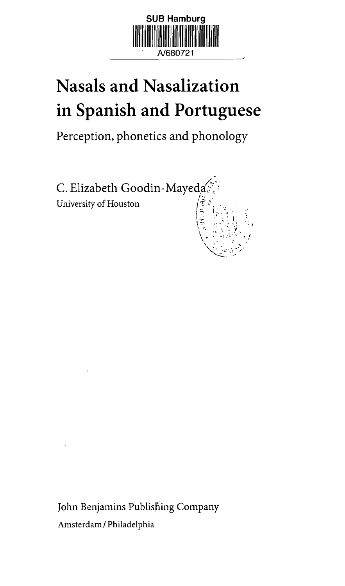

## **Nasals and Nasalization in Spanish and Portuguese**

Perception, phonetics and phonology



John Benjamins Publishing Company Amsterdam / Philadelphia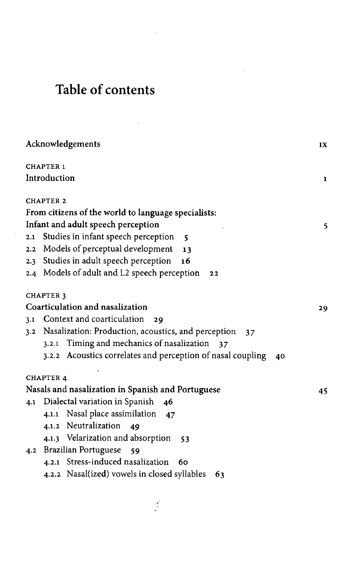## **Table of contents**

 $\bar{z}$ 

l,

| Acknowledgements                                                       | IX           |
|------------------------------------------------------------------------|--------------|
| <b>CHAPTER 1</b>                                                       |              |
| Introduction                                                           | $\mathbf{1}$ |
| <b>CHAPTER 2</b>                                                       |              |
| From citizens of the world to language specialists:                    |              |
| Infant and adult speech perception                                     | 5.           |
| Studies in infant speech perception<br>2.1<br>$\overline{\phantom{a}}$ |              |
| Models of perceptual development<br>2.2<br>13                          |              |
| Studies in adult speech perception<br>16<br>$2.3 -$                    |              |
| 2.4 Models of adult and L2 speech perception<br>22                     |              |
| <b>CHAPTER 3</b>                                                       |              |
| Coarticulation and nasalization                                        | 29           |
| Context and coarticulation<br>3.1<br>29                                |              |
| 3.2 Nasalization: Production, acoustics, and perception                | 37           |
| 3.2.1 Timing and mechanics of nasalization<br>37                       |              |
| 3.2.2 Acoustics correlates and perception of nasal coupling            | 40           |
| <b>CHAPTER 4</b>                                                       |              |
| Nasals and nasalization in Spanish and Portuguese                      | 45           |
| Dialectal variation in Spanish<br>4.1<br>46                            |              |
| 4.1.1 Nasal place assimilation<br>47                                   |              |
| 4.1.2 Neutralization<br>49                                             |              |
| 4.1.3 Velarization and absorption<br>53                                |              |
| 4.2 Brazilian Portuguese<br>59                                         |              |
| 4.2.1 Stress-induced nasalization<br>60                                |              |
| 4.2.2 Nasal(ized) vowels in closed syllables<br>63                     |              |
|                                                                        |              |

 $\frac{1}{2}$